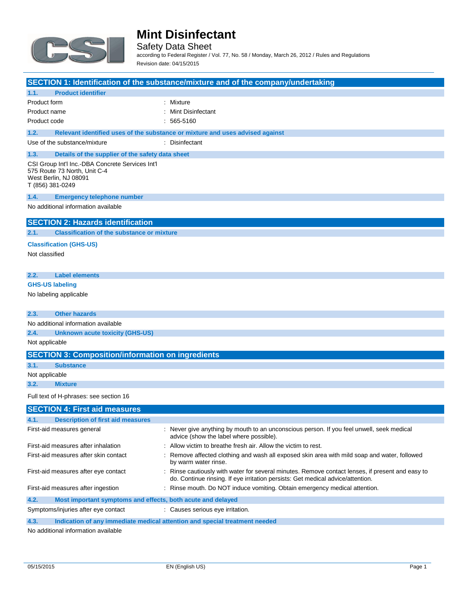

Safety Data Sheet

according to Federal Register / Vol. 77, No. 58 / Monday, March 26, 2012 / Rules and Regulations Revision date: 04/15/2015

|                                                                                                                               | SECTION 1: Identification of the substance/mixture and of the company/undertaking                                                                                                   |
|-------------------------------------------------------------------------------------------------------------------------------|-------------------------------------------------------------------------------------------------------------------------------------------------------------------------------------|
| 1.1.<br><b>Product identifier</b>                                                                                             |                                                                                                                                                                                     |
| Product form                                                                                                                  | : Mixture                                                                                                                                                                           |
| Product name                                                                                                                  | : Mint Disinfectant                                                                                                                                                                 |
| Product code                                                                                                                  | $: 565-5160$                                                                                                                                                                        |
| 1.2.                                                                                                                          | Relevant identified uses of the substance or mixture and uses advised against                                                                                                       |
| Use of the substance/mixture                                                                                                  | : Disinfectant                                                                                                                                                                      |
| 1.3.<br>Details of the supplier of the safety data sheet                                                                      |                                                                                                                                                                                     |
| CSI Group Int'l Inc.-DBA Concrete Services Int'l<br>575 Route 73 North, Unit C-4<br>West Berlin, NJ 08091<br>T (856) 381-0249 |                                                                                                                                                                                     |
| 1.4.<br><b>Emergency telephone number</b>                                                                                     |                                                                                                                                                                                     |
| No additional information available                                                                                           |                                                                                                                                                                                     |
| <b>SECTION 2: Hazards identification</b>                                                                                      |                                                                                                                                                                                     |
| 2.1.<br><b>Classification of the substance or mixture</b>                                                                     |                                                                                                                                                                                     |
| <b>Classification (GHS-US)</b>                                                                                                |                                                                                                                                                                                     |
| Not classified                                                                                                                |                                                                                                                                                                                     |
|                                                                                                                               |                                                                                                                                                                                     |
| 2.2.<br><b>Label elements</b>                                                                                                 |                                                                                                                                                                                     |
| <b>GHS-US labeling</b>                                                                                                        |                                                                                                                                                                                     |
| No labeling applicable                                                                                                        |                                                                                                                                                                                     |
|                                                                                                                               |                                                                                                                                                                                     |
| 2.3.<br><b>Other hazards</b>                                                                                                  |                                                                                                                                                                                     |
| No additional information available                                                                                           |                                                                                                                                                                                     |
| 2.4.<br><b>Unknown acute toxicity (GHS-US)</b>                                                                                |                                                                                                                                                                                     |
| Not applicable                                                                                                                |                                                                                                                                                                                     |
| <b>SECTION 3: Composition/information on ingredients</b>                                                                      |                                                                                                                                                                                     |
| 3.1.<br><b>Substance</b>                                                                                                      |                                                                                                                                                                                     |
| Not applicable                                                                                                                |                                                                                                                                                                                     |
| 3.2.<br><b>Mixture</b>                                                                                                        |                                                                                                                                                                                     |
| Full text of H-phrases: see section 16                                                                                        |                                                                                                                                                                                     |
| <b>SECTION 4: First aid measures</b>                                                                                          |                                                                                                                                                                                     |
| 4.1.<br><b>Description of first aid measures</b>                                                                              |                                                                                                                                                                                     |
| First-aid measures general                                                                                                    | : Never give anything by mouth to an unconscious person. If you feel unwell, seek medical<br>advice (show the label where possible).                                                |
| First-aid measures after inhalation                                                                                           | Allow victim to breathe fresh air. Allow the victim to rest.                                                                                                                        |
| First-aid measures after skin contact                                                                                         | Remove affected clothing and wash all exposed skin area with mild soap and water, followed                                                                                          |
|                                                                                                                               | by warm water rinse.                                                                                                                                                                |
| First-aid measures after eye contact                                                                                          | : Rinse cautiously with water for several minutes. Remove contact lenses, if present and easy to<br>do. Continue rinsing. If eye irritation persists: Get medical advice/attention. |
| First-aid measures after ingestion                                                                                            | : Rinse mouth. Do NOT induce vomiting. Obtain emergency medical attention.                                                                                                          |
| 4.2.<br>Most important symptoms and effects, both acute and delayed                                                           |                                                                                                                                                                                     |

Symptoms/injuries after eye contact : Causes serious eye irritation.

**4.3. Indication of any immediate medical attention and special treatment needed**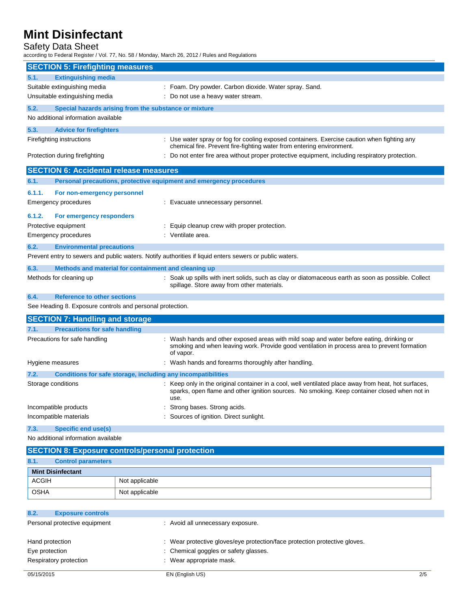## Safety Data Sheet

according to Federal Register / Vol. 77, No. 58 / Monday, March 26, 2012 / Rules and Regulations

|        | <b>SECTION 5: Firefighting measures</b>                             |                                                                                                                                                                                                            |
|--------|---------------------------------------------------------------------|------------------------------------------------------------------------------------------------------------------------------------------------------------------------------------------------------------|
| 5.1.   | <b>Extinguishing media</b>                                          |                                                                                                                                                                                                            |
|        | Suitable extinguishing media                                        | : Foam. Dry powder. Carbon dioxide. Water spray. Sand.                                                                                                                                                     |
|        | Unsuitable extinguishing media                                      | : Do not use a heavy water stream.                                                                                                                                                                         |
| 5.2.   | Special hazards arising from the substance or mixture               |                                                                                                                                                                                                            |
|        | No additional information available                                 |                                                                                                                                                                                                            |
| 5.3.   | <b>Advice for firefighters</b>                                      |                                                                                                                                                                                                            |
|        | Firefighting instructions                                           | : Use water spray or fog for cooling exposed containers. Exercise caution when fighting any<br>chemical fire. Prevent fire-fighting water from entering environment.                                       |
|        | Protection during firefighting                                      | Do not enter fire area without proper protective equipment, including respiratory protection.                                                                                                              |
|        | <b>SECTION 6: Accidental release measures</b>                       |                                                                                                                                                                                                            |
| 6.1.   | Personal precautions, protective equipment and emergency procedures |                                                                                                                                                                                                            |
| 6.1.1. | For non-emergency personnel                                         |                                                                                                                                                                                                            |
|        | <b>Emergency procedures</b>                                         | : Evacuate unnecessary personnel.                                                                                                                                                                          |
| 6.1.2. | For emergency responders                                            |                                                                                                                                                                                                            |
|        | Protective equipment                                                | : Equip cleanup crew with proper protection.                                                                                                                                                               |
|        | <b>Emergency procedures</b>                                         | : Ventilate area.                                                                                                                                                                                          |
| 6.2.   | <b>Environmental precautions</b>                                    |                                                                                                                                                                                                            |
|        |                                                                     | Prevent entry to sewers and public waters. Notify authorities if liquid enters sewers or public waters.                                                                                                    |
| 6.3.   | Methods and material for containment and cleaning up                |                                                                                                                                                                                                            |
|        | Methods for cleaning up                                             | : Soak up spills with inert solids, such as clay or diatomaceous earth as soon as possible. Collect<br>spillage. Store away from other materials.                                                          |
| 6.4.   | <b>Reference to other sections</b>                                  |                                                                                                                                                                                                            |
|        | See Heading 8. Exposure controls and personal protection.           |                                                                                                                                                                                                            |
|        | <b>SECTION 7: Handling and storage</b>                              |                                                                                                                                                                                                            |
| 7.1.   | <b>Precautions for safe handling</b>                                |                                                                                                                                                                                                            |
|        | Precautions for safe handling                                       | Wash hands and other exposed areas with mild soap and water before eating, drinking or<br>smoking and when leaving work. Provide good ventilation in process area to prevent formation<br>of vapor.        |
|        | Hygiene measures                                                    | : Wash hands and forearms thoroughly after handling.                                                                                                                                                       |
| 7.2.   | Conditions for safe storage, including any incompatibilities        |                                                                                                                                                                                                            |
|        | Storage conditions                                                  | Keep only in the original container in a cool, well ventilated place away from heat, hot surfaces,<br>sparks, open flame and other ignition sources. No smoking. Keep container closed when not in<br>use. |
|        | Incompatible products                                               | Strong bases. Strong acids.                                                                                                                                                                                |
|        | Incompatible materials                                              | Sources of ignition. Direct sunlight.                                                                                                                                                                      |
| 7.3.   | Specific end use(s)                                                 |                                                                                                                                                                                                            |

| <b>SECTION 8: Exposure controls/personal protection</b> |                           |                |
|---------------------------------------------------------|---------------------------|----------------|
| 8.1.                                                    | <b>Control parameters</b> |                |
|                                                         | <b>Mint Disinfectant</b>  |                |
| <b>ACGIH</b>                                            |                           | Not applicable |
| <b>OSHA</b>                                             |                           | Not applicable |

| 8.2.                          | <b>Exposure controls</b> |                                                                            |     |
|-------------------------------|--------------------------|----------------------------------------------------------------------------|-----|
| Personal protective equipment |                          | : Avoid all unnecessary exposure.                                          |     |
|                               |                          |                                                                            |     |
| Hand protection               |                          | : Wear protective gloves/eye protection/face protection protective gloves. |     |
| Eye protection                |                          | : Chemical goggles or safety glasses.                                      |     |
|                               | Respiratory protection   | : Wear appropriate mask.                                                   |     |
|                               |                          |                                                                            |     |
| 05/15/2015                    |                          | EN (English US)                                                            | 2/5 |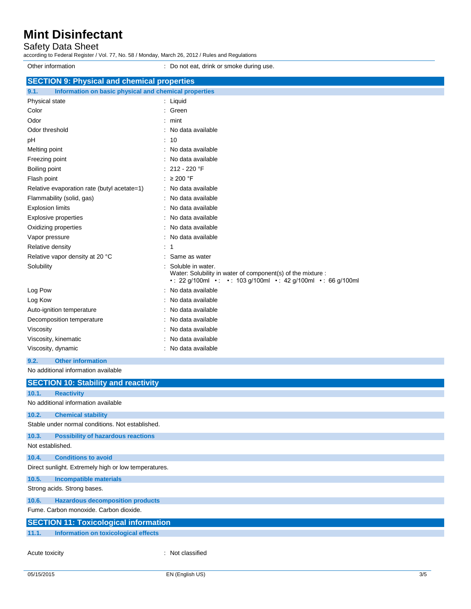## Safety Data Sheet

according to Federal Register / Vol. 77, No. 58 / Monday, March 26, 2012 / Rules and Regulations

Other information **Other information** : Do not eat, drink or smoke during use. **SECTION 9: Physical and chemical properties 9.1. Information on basic physical and chemical properties** Physical state in the state of the state of the state in the state of the state of the state in the state of the state of the state of the state of the state of the state of the state of the state of the state of the state Color : Green : Green : Green : Green : Green : Green : Green : Green : Green : Green : Green : Green : Green : Green : Green : Green : Green : Green : Green : Green : Green : Green : Green : Green : Green : Green : Green Odor : mint Odor threshold **in the state of the state of the state of the state of the state of the state of the state of the state of the state of the state of the state of the state of the state of the state of the state of the stat** pH : 10 Melting point **in the case of the case of the case of the case of the case of the case of the case of the case of the case of the case of the case of the case of the case of the case of the case of the case of the case of** Freezing point **in the case of the Contract Contract Contract Contract Contract Contract Contract Contract Contract Contract Contract Contract Contract Contract Contract Contract Contract Contract Contract Contract Contrac** Boiling point : 212 - 220 °F Flash point : ≥ 200 °F Relative evaporation rate (butyl acetate=1) : No data available Flammability (solid, gas) **in the set of the set of the set of the set of the set of the set of the set of the set of the set of the set of the set of the set of the set of the set of the set of the set of the set of the s** Explosion limits **Explosion** limits **Explosion** limits **Explosion** in the set of  $\mathbb{R}$  and  $\mathbb{R}$  and  $\mathbb{R}$  are set of  $\mathbb{R}$  and  $\mathbb{R}$  are set of  $\mathbb{R}$  and  $\mathbb{R}$  are set of  $\mathbb{R}$  and  $\mathbb{R}$  are set Explosive properties **in the set of the set of the set of the set of the set of the set of the set of the set of the set of the set of the set of the set of the set of the set of the set of the set of the set of the set of** Oxidizing properties **in the contract of the Contract August** 2012 : No data available Vapor pressure in the set of the set of the set of the Vapor pressure in the Vapor pressure Relative density in the set of the set of the set of the set of the set of the set of the set of the set of the set of the set of the set of the set of the set of the set of the set of the set of the set of the set of the Relative vapor density at 20 °C : Same as water Solubility : Soluble in water. Water: Solubility in water of component(s) of the mixture : • : 22 g/100ml • : • : 103 g/100ml • : 42 g/100ml • : 66 g/100ml Log Pow : No data available Log Kow **: No data available** Auto-ignition temperature **interest and the Contract Contract Auto-** : No data available Decomposition temperature : No data available Viscosity : No data available Viscosity, kinematic **intervalse in the Contract of Contract Available** : No data available Viscosity, dynamic **intervalse in the Contract of Contract Available** : No data available **9.2. Other information**

|                                                      | <b>SECTION 10: Stability and reactivity</b>      |                  |
|------------------------------------------------------|--------------------------------------------------|------------------|
| 10.1.                                                | <b>Reactivity</b>                                |                  |
|                                                      | No additional information available              |                  |
| 10.2.                                                | <b>Chemical stability</b>                        |                  |
|                                                      | Stable under normal conditions. Not established. |                  |
| 10.3.                                                | <b>Possibility of hazardous reactions</b>        |                  |
| Not established.                                     |                                                  |                  |
| 10.4.                                                | <b>Conditions to avoid</b>                       |                  |
| Direct sunlight. Extremely high or low temperatures. |                                                  |                  |
| 10.5.                                                | <b>Incompatible materials</b>                    |                  |
| Strong acids. Strong bases.                          |                                                  |                  |
| 10.6.                                                | <b>Hazardous decomposition products</b>          |                  |
| Fume, Carbon monoxide, Carbon dioxide,               |                                                  |                  |
| <b>SECTION 11: Toxicological information</b>         |                                                  |                  |
| 11.1.                                                | Information on toxicological effects             |                  |
| Acute toxicity                                       |                                                  | : Not classified |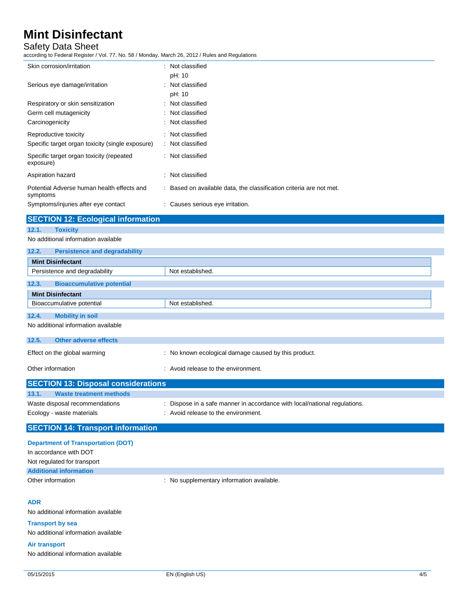## Safety Data Sheet

according to Federal Register / Vol. 77, No. 58 / Monday, March 26, 2012 / Rules and Regulations

| Skin corrosion/irritation                              | : Not classified                                                    |
|--------------------------------------------------------|---------------------------------------------------------------------|
|                                                        | pH: 10                                                              |
| Serious eye damage/irritation                          | : Not classified                                                    |
|                                                        | pH: 10                                                              |
| Respiratory or skin sensitization                      | : Not classified                                                    |
| Germ cell mutagenicity                                 | : Not classified                                                    |
| Carcinogenicity                                        | : Not classified                                                    |
| Reproductive toxicity                                  | : Not classified                                                    |
| Specific target organ toxicity (single exposure)       | : Not classified                                                    |
| Specific target organ toxicity (repeated<br>exposure)  | : Not classified                                                    |
| Aspiration hazard                                      | : Not classified                                                    |
| Potential Adverse human health effects and<br>symptoms | : Based on available data, the classification criteria are not met. |
| Symptoms/injuries after eye contact                    | : Causes serious eye irritation.                                    |

## **SECTION 12: Ecological information 12.1. Toxicity**

#### No additional information available

| 12.2.                               | <b>Persistence and degradability</b> |                                                      |
|-------------------------------------|--------------------------------------|------------------------------------------------------|
| <b>Mint Disinfectant</b>            |                                      |                                                      |
|                                     | Persistence and degradability        | Not established.                                     |
| 12.3.                               | <b>Bioaccumulative potential</b>     |                                                      |
| <b>Mint Disinfectant</b>            |                                      |                                                      |
|                                     | Bioaccumulative potential            | Not established.                                     |
| 12.4.                               | <b>Mobility in soil</b>              |                                                      |
| No additional information available |                                      |                                                      |
| 12.5.                               | <b>Other adverse effects</b>         |                                                      |
|                                     | Effect on the global warming         | : No known ecological damage caused by this product. |

| Other information                          | : Avoid release to the environment.                                       |
|--------------------------------------------|---------------------------------------------------------------------------|
| <b>SECTION 13: Disposal considerations</b> |                                                                           |
| 13.1.<br><b>Waste treatment methods</b>    |                                                                           |
| Waste disposal recommendations             | : Dispose in a safe manner in accordance with local/national regulations. |
| Ecology - waste materials                  | : Avoid release to the environment.                                       |

## **SECTION 14: Transport information**

| <b>Department of Transportation (DOT)</b> |                                         |
|-------------------------------------------|-----------------------------------------|
| In accordance with DOT                    |                                         |
| Not regulated for transport               |                                         |
| <b>Additional information</b>             |                                         |
| Other information                         | No supplementary information available. |
|                                           |                                         |

#### **ADR**

No additional information available

#### **Transport by sea**

No additional information available

#### **Air transport**